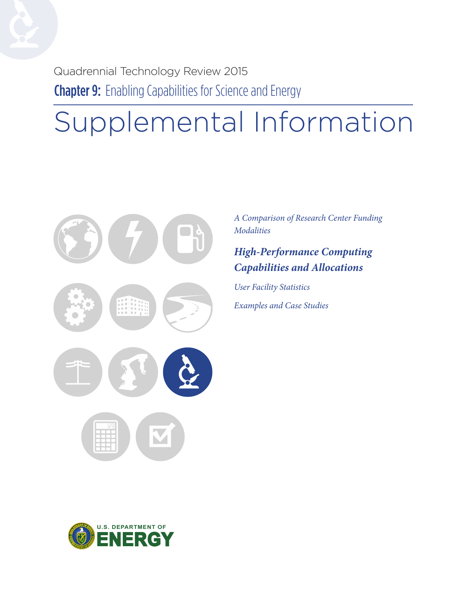Quadrennial Technology Review 2015 **Chapter 9:** Enabling Capabilities for Science and Energy

# Supplemental Information



*A Comparison of Research Center Funding Modalities*

### *High-Performance Computing Capabilities and Allocations*

*User Facility Statistics Examples and Case Studies*

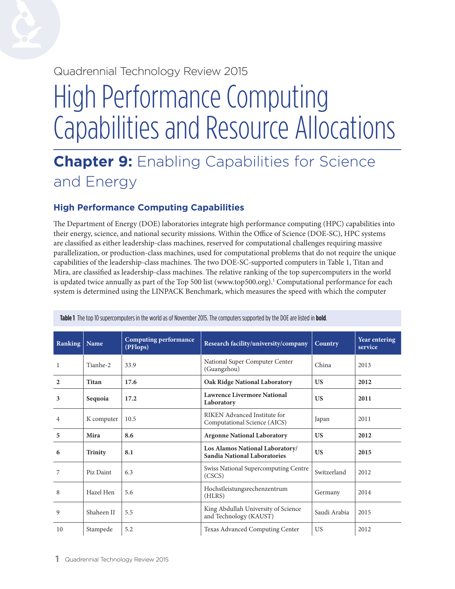### Quadrennial Technology Review 2015

# High Performance Computing Capabilities and Resource Allocations

# **Chapter 9:** Enabling Capabilities for Science and Energy

#### **High Performance Computing Capabilities**

The Department of Energy (DOE) laboratories integrate high performance computing (HPC) capabilities into their energy, science, and national security missions. Within the Office of Science (DOE-SC), HPC systems are classified as either leadership-class machines, reserved for computational challenges requiring massive parallelization, or production-class machines, used for computational problems that do not require the unique capabilities of the leadership-class machines. The two DOE-SC-supported computers in Table 1, Titan and Mira, are classified as leadership-class machines. The relative ranking of the top supercomputers in the world is updated twice annually as part of the Top 500 list [\(www.top500.org\)](http://www.top500.org).<sup>1</sup> Computational performance for each system is determined using the LINPACK Benchmark, which measures the speed with which the computer

| <b>Ranking</b> | Name       | <b>Computing performance</b><br>(PFlops) | Research facility/university/company                            | <b>Country</b> | Year entering<br>service |
|----------------|------------|------------------------------------------|-----------------------------------------------------------------|----------------|--------------------------|
| 1              | Tianhe-2   | 33.9                                     | National Super Computer Center<br>(Guangzhou)                   | China          | 2013                     |
| $\overline{2}$ | Titan      | 17.6                                     | <b>Oak Ridge National Laboratory</b>                            | <b>US</b>      | 2012                     |
| 3              | Sequoia    | 17.2                                     | <b>Lawrence Livermore National</b><br>Laboratory                | <b>US</b>      | 2011                     |
| 4              | K computer | 10.5                                     | RIKEN Advanced Institute for<br>Computational Science (AICS)    | Japan          | 2011                     |
| 5              | Mira       | 8.6                                      | <b>Argonne National Laboratory</b>                              | <b>US</b>      | 2012                     |
| 6              | Trinity    | 8.1                                      | Los Alamos National Laboratory/<br>Sandia National Laboratories | <b>US</b>      | 2015                     |
| 7              | Piz Daint  | 6.3                                      | Swiss National Supercomputing Centre<br>(CSCS)                  | Switzerland    | 2012                     |
| 8              | Hazel Hen  | 5.6                                      | Hochstleistungsrechenzentrum<br>(HLRS)                          | Germany        | 2014                     |
| 9              | Shaheen II | 5.5                                      | King Abdullah University of Science<br>and Technology (KAUST)   | Saudi Arabia   | 2015                     |
| 10             | Stampede   | 5.2                                      | Texas Advanced Computing Center                                 | <b>US</b>      | 2012                     |

**Table 1** The top 10 supercomputers in the world as of November 2015. The computers supported by the DOE are listed in **bold**.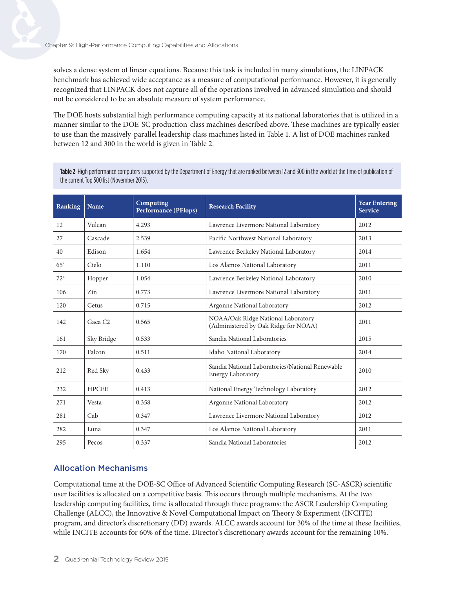solves a dense system of linear equations. Because this task is included in many simulations, the LINPACK benchmark has achieved wide acceptance as a measure of computational performance. However, it is generally recognized that LINPACK does not capture all of the operations involved in advanced simulation and should not be considered to be an absolute measure of system performance.

The DOE hosts substantial high performance computing capacity at its national laboratories that is utilized in a manner similar to the DOE-SC production-class machines described above. These machines are typically easier to use than the massively-parallel leadership class machines listed in Table 1. A list of DOE machines ranked between 12 and 300 in the world is given in Table 2.

**Table 2** High performance computers supported by the Department of Energy that are ranked between 12 and 300 in the world at the time of publication of the current Top 500 list (November 2015).

| Ranking  | Name                | Computing<br><b>Performance (PFlops)</b> | <b>Research Facility</b>                                                    | <b>Year Entering</b><br><b>Service</b> |
|----------|---------------------|------------------------------------------|-----------------------------------------------------------------------------|----------------------------------------|
| 12       | Vulcan              | 4.293                                    | Lawrence Livermore National Laboratory                                      | 2012                                   |
| 27       | Cascade             | 2.539                                    | Pacific Northwest National Laboratory                                       | 2013                                   |
| 40       | Edison              | 1.654                                    | Lawrence Berkeley National Laboratory                                       | 2014                                   |
| $65^{3}$ | Cielo               | 1.110                                    | Los Alamos National Laboratory                                              | 2011                                   |
| $72^{4}$ | Hopper              | 1.054                                    | Lawrence Berkeley National Laboratory                                       | 2010                                   |
| 106      | Zin                 | 0.773                                    | Lawrence Livermore National Laboratory                                      | 2011                                   |
| 120      | Cetus               | 0.715                                    | Argonne National Laboratory                                                 | 2012                                   |
| 142      | Gaea C <sub>2</sub> | 0.565                                    | NOAA/Oak Ridge National Laboratory<br>(Administered by Oak Ridge for NOAA)  | 2011                                   |
| 161      | Sky Bridge          | 0.533                                    | Sandia National Laboratories                                                | 2015                                   |
| 170      | Falcon              | 0.511                                    | Idaho National Laboratory                                                   | 2014                                   |
| 212      | Red Sky             | 0.433                                    | Sandia National Laboratories/National Renewable<br><b>Energy Laboratory</b> | 2010                                   |
| 232      | <b>HPCEE</b>        | 0.413                                    | National Energy Technology Laboratory                                       | 2012                                   |
| 271      | Vesta               | 0.358                                    | Argonne National Laboratory                                                 | 2012                                   |
| 281      | Cab                 | 0.347                                    | Lawrence Livermore National Laboratory                                      | 2012                                   |
| 282      | Luna                | 0.347                                    | Los Alamos National Laboratory                                              | 2011                                   |
| 295      | Pecos               | 0.337                                    | Sandia National Laboratories                                                | 2012                                   |

#### Allocation Mechanisms

Computational time at the DOE-SC Office of Advanced Scientific Computing Research (SC-ASCR) scientific user facilities is allocated on a competitive basis. This occurs through multiple mechanisms. At the two leadership computing facilities, time is allocated through three programs: the ASCR Leadership Computing Challenge (ALCC), the Innovative & Novel Computational Impact on Theory & Experiment (INCITE) program, and director's discretionary (DD) awards. ALCC awards account for 30% of the time at these facilities, while INCITE accounts for 60% of the time. Director's discretionary awards account for the remaining 10%.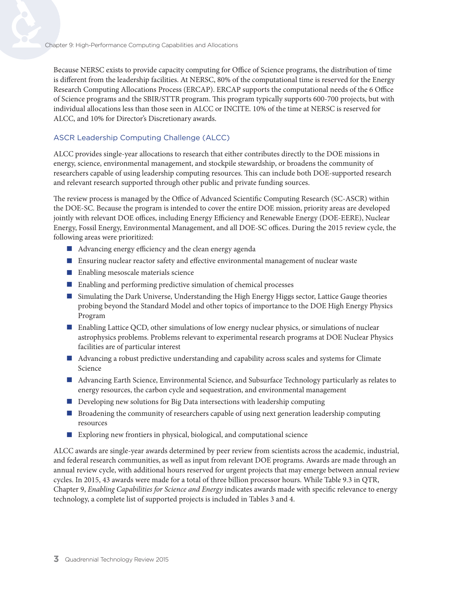Because NERSC exists to provide capacity computing for Office of Science programs, the distribution of time is different from the leadership facilities. At NERSC, 80% of the computational time is reserved for the Energy Research Computing Allocations Process (ERCAP). ERCAP supports the computational needs of the 6 Office of Science programs and the SBIR/STTR program. This program typically supports 600-700 projects, but with individual allocations less than those seen in ALCC or INCITE. 10% of the time at NERSC is reserved for ALCC, and 10% for Director's Discretionary awards.

#### ASCR Leadership Computing Challenge (ALCC)

ALCC provides single-year allocations to research that either contributes directly to the DOE missions in energy, science, environmental management, and stockpile stewardship, or broadens the community of researchers capable of using leadership computing resources. This can include both DOE-supported research and relevant research supported through other public and private funding sources.

The review process is managed by the Office of Advanced Scientific Computing Research (SC-ASCR) within the DOE-SC. Because the program is intended to cover the entire DOE mission, priority areas are developed jointly with relevant DOE offices, including Energy Efficiency and Renewable Energy (DOE-EERE), Nuclear Energy, Fossil Energy, Environmental Management, and all DOE-SC offices. During the 2015 review cycle, the following areas were prioritized:

- **Advancing energy efficiency and the clean energy agenda**
- Ensuring nuclear reactor safety and effective environmental management of nuclear waste
- **Enabling mesoscale materials science**
- Enabling and performing predictive simulation of chemical processes
- **Shimulating the Dark Universe, Understanding the High Energy Higgs sector, Lattice Gauge theories** probing beyond the Standard Model and other topics of importance to the DOE High Energy Physics Program
- Enabling Lattice QCD, other simulations of low energy nuclear physics, or simulations of nuclear astrophysics problems. Problems relevant to experimental research programs at DOE Nuclear Physics facilities are of particular interest
- Advancing a robust predictive understanding and capability across scales and systems for Climate Science
- Advancing Earth Science, Environmental Science, and Subsurface Technology particularly as relates to energy resources, the carbon cycle and sequestration, and environmental management
- **Developing new solutions for Big Data intersections with leadership computing**
- **B** Broadening the community of researchers capable of using next generation leadership computing resources
- Exploring new frontiers in physical, biological, and computational science

ALCC awards are single-year awards determined by peer review from scientists across the academic, industrial, and federal research communities, as well as input from relevant DOE programs. Awards are made through an annual review cycle, with additional hours reserved for urgent projects that may emerge between annual review cycles. In 2015, 43 awards were made for a total of three billion processor hours. While Table 9.3 in QTR, Chapter 9, *Enabling Capabilities for Science and Energy* indicates awards made with specific relevance to energy technology, a complete list of supported projects is included in Tables 3 and 4.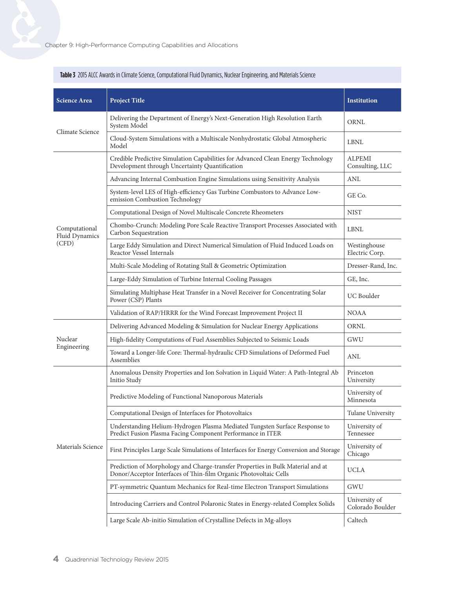| <b>Science Area</b>             | <b>Project Title</b>                                                                                                                                 | <b>Institution</b>                |
|---------------------------------|------------------------------------------------------------------------------------------------------------------------------------------------------|-----------------------------------|
| Climate Science                 | Delivering the Department of Energy's Next-Generation High Resolution Earth<br>System Model                                                          | ORNL                              |
|                                 | Cloud-System Simulations with a Multiscale Nonhydrostatic Global Atmospheric<br>Model                                                                | <b>LBNL</b>                       |
|                                 | Credible Predictive Simulation Capabilities for Advanced Clean Energy Technology<br>Development through Uncertainty Quantification                   | <b>ALPEMI</b><br>Consulting, LLC  |
|                                 | Advancing Internal Combustion Engine Simulations using Sensitivity Analysis                                                                          | <b>ANL</b>                        |
|                                 | System-level LES of High-efficiency Gas Turbine Combustors to Advance Low-<br>emission Combustion Technology                                         | GE Co.                            |
|                                 | Computational Design of Novel Multiscale Concrete Rheometers                                                                                         | <b>NIST</b>                       |
| Computational<br>Fluid Dynamics | Chombo-Crunch: Modeling Pore Scale Reactive Transport Processes Associated with<br>Carbon Sequestration                                              | <b>LBNL</b>                       |
| (CFD)                           | Large Eddy Simulation and Direct Numerical Simulation of Fluid Induced Loads on<br>Reactor Vessel Internals                                          | Westinghouse<br>Electric Corp.    |
|                                 | Multi-Scale Modeling of Rotating Stall & Geometric Optimization                                                                                      | Dresser-Rand, Inc.                |
|                                 | Large-Eddy Simulation of Turbine Internal Cooling Passages                                                                                           | GE, Inc.                          |
|                                 | Simulating Multiphase Heat Transfer in a Novel Receiver for Concentrating Solar<br>Power (CSP) Plants                                                | UC Boulder                        |
|                                 | Validation of RAP/HRRR for the Wind Forecast Improvement Project II                                                                                  | <b>NOAA</b>                       |
|                                 | Delivering Advanced Modeling & Simulation for Nuclear Energy Applications                                                                            | ORNL                              |
| Nuclear                         | High-fidelity Computations of Fuel Assemblies Subjected to Seismic Loads                                                                             | GWU                               |
| Engineering                     | Toward a Longer-life Core: Thermal-hydraulic CFD Simulations of Deformed Fuel<br>Assemblies                                                          | <b>ANL</b>                        |
|                                 | Anomalous Density Properties and Ion Solvation in Liquid Water: A Path-Integral Ab<br>Initio Study                                                   | Princeton<br>University           |
|                                 | Predictive Modeling of Functional Nanoporous Materials                                                                                               | University of<br>Minnesota        |
|                                 | Computational Design of Interfaces for Photovoltaics                                                                                                 | Tulane University                 |
|                                 | Understanding Helium-Hydrogen Plasma Mediated Tungsten Surface Response to<br>Predict Fusion Plasma Facing Component Performance in ITER             | University of<br>Tennessee        |
| Materials Science               | First Principles Large Scale Simulations of Interfaces for Energy Conversion and Storage                                                             | University of<br>Chicago          |
|                                 | Prediction of Morphology and Charge-transfer Properties in Bulk Material and at<br>Donor/Acceptor Interfaces of Thin-film Organic Photovoltaic Cells | <b>UCLA</b>                       |
|                                 | PT-symmetric Quantum Mechanics for Real-time Electron Transport Simulations                                                                          | <b>GWU</b>                        |
|                                 | Introducing Carriers and Control Polaronic States in Energy-related Complex Solids                                                                   | University of<br>Colorado Boulder |
|                                 | Large Scale Ab-initio Simulation of Crystalline Defects in Mg-alloys                                                                                 | Caltech                           |

#### **Table 3** 2015 ALCC Awards in Climate Science, Computational Fluid Dynamics, Nuclear Engineering, and Materials Science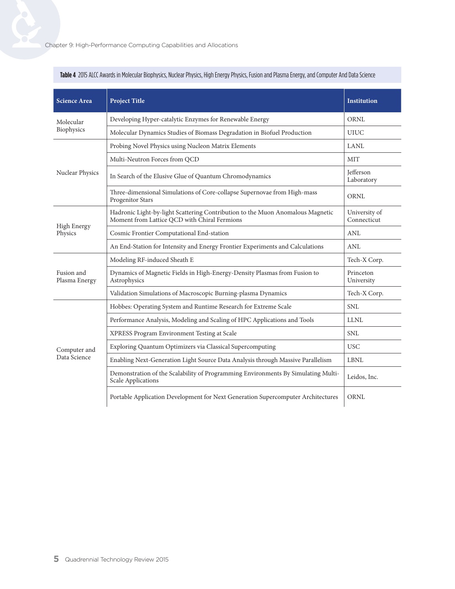| <b>Science Area</b>         | <b>Project Title</b>                                                                                                           | <b>Institution</b>              |
|-----------------------------|--------------------------------------------------------------------------------------------------------------------------------|---------------------------------|
| Molecular                   | Developing Hyper-catalytic Enzymes for Renewable Energy                                                                        | <b>ORNL</b>                     |
| Biophysics                  | Molecular Dynamics Studies of Biomass Degradation in Biofuel Production                                                        | <b>UIUC</b>                     |
|                             | Probing Novel Physics using Nucleon Matrix Elements                                                                            | <b>LANL</b>                     |
|                             | Multi-Neutron Forces from QCD                                                                                                  | <b>MIT</b>                      |
| Nuclear Physics             | In Search of the Elusive Glue of Quantum Chromodynamics                                                                        | <b>I</b> efferson<br>Laboratory |
|                             | Three-dimensional Simulations of Core-collapse Supernovae from High-mass<br>Progenitor Stars                                   | <b>ORNL</b>                     |
|                             | Hadronic Light-by-light Scattering Contribution to the Muon Anomalous Magnetic<br>Moment from Lattice QCD with Chiral Fermions | University of<br>Connecticut    |
| High Energy<br>Physics      | Cosmic Frontier Computational End-station                                                                                      | <b>ANL</b>                      |
|                             | An End-Station for Intensity and Energy Frontier Experiments and Calculations                                                  | <b>ANL</b>                      |
|                             | Modeling RF-induced Sheath E                                                                                                   | Tech-X Corp.                    |
| Fusion and<br>Plasma Energy | Dynamics of Magnetic Fields in High-Energy-Density Plasmas from Fusion to<br>Astrophysics                                      | Princeton<br>University         |
|                             | Validation Simulations of Macroscopic Burning-plasma Dynamics                                                                  | Tech-X Corp.                    |
|                             | Hobbes: Operating System and Runtime Research for Extreme Scale                                                                | <b>SNL</b>                      |
|                             | Performance Analysis, Modeling and Scaling of HPC Applications and Tools                                                       | <b>LLNL</b>                     |
|                             | XPRESS Program Environment Testing at Scale                                                                                    | <b>SNL</b>                      |
| Computer and                | Exploring Quantum Optimizers via Classical Supercomputing                                                                      | <b>USC</b>                      |
| Data Science                | Enabling Next-Generation Light Source Data Analysis through Massive Parallelism                                                | ${\rm LBNL}$                    |
|                             | Demonstration of the Scalability of Programming Environments By Simulating Multi-<br>Scale Applications                        | Leidos, Inc.                    |
|                             | Portable Application Development for Next Generation Supercomputer Architectures                                               | <b>ORNL</b>                     |

#### **Table 4** 2015 ALCC Awards in Molecular Biophysics, Nuclear Physics, High Energy Physics, Fusion and Plasma Energy, and Computer And Data Science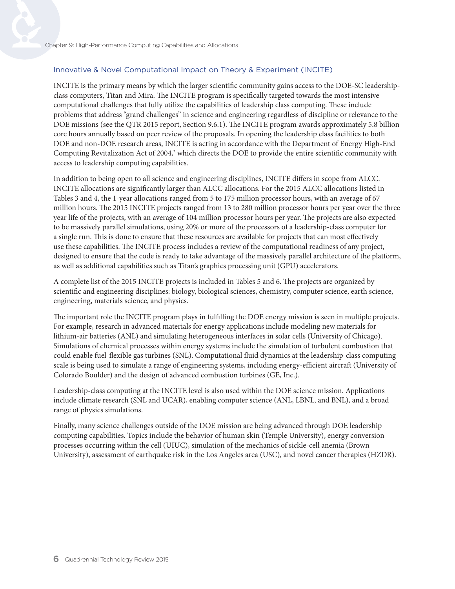#### Innovative & Novel Computational Impact on Theory & Experiment (INCITE)

INCITE is the primary means by which the larger scientific community gains access to the DOE-SC leadershipclass computers, Titan and Mira. The INCITE program is specifically targeted towards the most intensive computational challenges that fully utilize the capabilities of leadership class computing. These include problems that address "grand challenges" in science and engineering regardless of discipline or relevance to the DOE missions (see the QTR 2015 report, Section 9.6.1). The INCITE program awards approximately 5.8 billion core hours annually based on peer review of the proposals. In opening the leadership class facilities to both DOE and non-DOE research areas, INCITE is acting in accordance with the Department of Energy High-End Computing Revitalization Act of 2004,<sup>2</sup> which directs the DOE to provide the entire scientific community with access to leadership computing capabilities.

In addition to being open to all science and engineering disciplines, INCITE differs in scope from ALCC. INCITE allocations are significantly larger than ALCC allocations. For the 2015 ALCC allocations listed in Tables 3 and 4, the 1-year allocations ranged from 5 to 175 million processor hours, with an average of 67 million hours. The 2015 INCITE projects ranged from 13 to 280 million processor hours per year over the three year life of the projects, with an average of 104 million processor hours per year. The projects are also expected to be massively parallel simulations, using 20% or more of the processors of a leadership-class computer for a single run. This is done to ensure that these resources are available for projects that can most effectively use these capabilities. The INCITE process includes a review of the computational readiness of any project, designed to ensure that the code is ready to take advantage of the massively parallel architecture of the platform, as well as additional capabilities such as Titan's graphics processing unit (GPU) accelerators.

A complete list of the 2015 INCITE projects is included in Tables 5 and 6. The projects are organized by scientific and engineering disciplines: biology, biological sciences, chemistry, computer science, earth science, engineering, materials science, and physics.

The important role the INCITE program plays in fulfilling the DOE energy mission is seen in multiple projects. For example, research in advanced materials for energy applications include modeling new materials for lithium-air batteries (ANL) and simulating heterogeneous interfaces in solar cells (University of Chicago). Simulations of chemical processes within energy systems include the simulation of turbulent combustion that could enable fuel-flexible gas turbines (SNL). Computational fluid dynamics at the leadership-class computing scale is being used to simulate a range of engineering systems, including energy-efficient aircraft (University of Colorado Boulder) and the design of advanced combustion turbines (GE, Inc.).

Leadership-class computing at the INCITE level is also used within the DOE science mission. Applications include climate research (SNL and UCAR), enabling computer science (ANL, LBNL, and BNL), and a broad range of physics simulations.

Finally, many science challenges outside of the DOE mission are being advanced through DOE leadership computing capabilities. Topics include the behavior of human skin (Temple University), energy conversion processes occurring within the cell (UIUC), simulation of the mechanics of sickle-cell anemia (Brown University), assessment of earthquake risk in the Los Angeles area (USC), and novel cancer therapies (HZDR).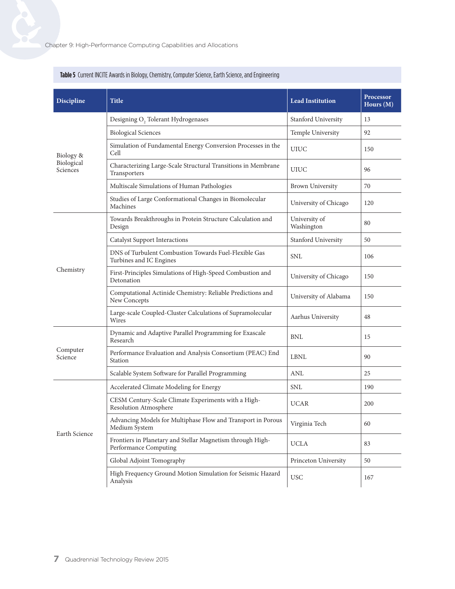| <b>Discipline</b>      | <b>Title</b>                                                                        | <b>Lead Institution</b>     | Processor<br>Hours $(M)$ |
|------------------------|-------------------------------------------------------------------------------------|-----------------------------|--------------------------|
|                        | Designing O <sub>2</sub> Tolerant Hydrogenases                                      | Stanford University         | 13                       |
|                        | <b>Biological Sciences</b>                                                          | Temple University           | 92                       |
| Biology &              | Simulation of Fundamental Energy Conversion Processes in the<br>Cell                | <b>UIUC</b>                 | 150                      |
| Biological<br>Sciences | Characterizing Large-Scale Structural Transitions in Membrane<br>Transporters       | <b>UIUC</b>                 | 96                       |
|                        | Multiscale Simulations of Human Pathologies                                         | <b>Brown University</b>     | 70                       |
|                        | Studies of Large Conformational Changes in Biomolecular<br>Machines                 | University of Chicago       | 120                      |
|                        | Towards Breakthroughs in Protein Structure Calculation and<br>Design                | University of<br>Washington | 80                       |
|                        | <b>Catalyst Support Interactions</b>                                                | Stanford University         | 50                       |
|                        | DNS of Turbulent Combustion Towards Fuel-Flexible Gas<br>Turbines and IC Engines    | <b>SNL</b>                  | 106                      |
| Chemistry              | First-Principles Simulations of High-Speed Combustion and<br>Detonation             | University of Chicago       | 150                      |
|                        | Computational Actinide Chemistry: Reliable Predictions and<br>New Concepts          | University of Alabama       | 150                      |
|                        | Large-scale Coupled-Cluster Calculations of Supramolecular<br>Wires                 | Aarhus University           | 48                       |
|                        | Dynamic and Adaptive Parallel Programming for Exascale<br>Research                  | $\operatorname{BNL}$        | 15                       |
| Computer<br>Science    | Performance Evaluation and Analysis Consortium (PEAC) End<br>Station                | <b>LBNL</b>                 | 90                       |
|                        | Scalable System Software for Parallel Programming                                   | <b>ANL</b>                  | 25                       |
|                        | Accelerated Climate Modeling for Energy                                             | <b>SNL</b>                  | 190                      |
|                        | CESM Century-Scale Climate Experiments with a High-<br>Resolution Atmosphere        | <b>UCAR</b>                 | 200                      |
|                        | Advancing Models for Multiphase Flow and Transport in Porous<br>Medium System       | Virginia Tech               | 60                       |
| Earth Science          | Frontiers in Planetary and Stellar Magnetism through High-<br>Performance Computing | <b>UCLA</b>                 | 83                       |
|                        | Global Adjoint Tomography                                                           | Princeton University        | 50                       |
|                        | High Frequency Ground Motion Simulation for Seismic Hazard<br>Analysis              | <b>USC</b>                  | 167                      |

#### **Table 5** Current INCITE Awards in Biology, Chemistry, Computer Science, Earth Science, and Engineering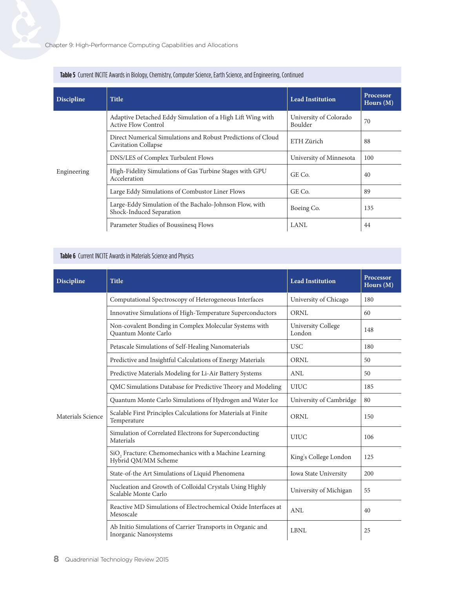| <b>Discipline</b> | <b>Title</b>                                                                               | <b>Lead Institution</b>           | <b>Processor</b><br>Hours $(M)$ |
|-------------------|--------------------------------------------------------------------------------------------|-----------------------------------|---------------------------------|
|                   | Adaptive Detached Eddy Simulation of a High Lift Wing with<br><b>Active Flow Control</b>   | University of Colorado<br>Boulder | 70                              |
|                   | Direct Numerical Simulations and Robust Predictions of Cloud<br><b>Cavitation Collapse</b> | ETH Zürich                        | 88                              |
|                   | DNS/LES of Complex Turbulent Flows                                                         | University of Minnesota           | 100                             |
| Engineering       | High-Fidelity Simulations of Gas Turbine Stages with GPU<br>Acceleration                   | GE Co.                            | 40                              |
|                   | Large Eddy Simulations of Combustor Liner Flows                                            | GE Co.                            | 89                              |
|                   | Large-Eddy Simulation of the Bachalo-Johnson Flow, with<br>Shock-Induced Separation        | Boeing Co.                        | 135                             |
|                   | Parameter Studies of Boussinesq Flows                                                      | LANL                              | 44                              |

#### **Table 5** Current INCITE Awards in Biology, Chemistry, Computer Science, Earth Science, and Engineering, Continued

#### **Table 6** Current INCITE Awards in Materials Science and Physics

| <b>Discipline</b> | <b>Title</b>                                                                             | <b>Lead Institution</b>             | Processor<br>Hours $(M)$ |
|-------------------|------------------------------------------------------------------------------------------|-------------------------------------|--------------------------|
|                   | Computational Spectroscopy of Heterogeneous Interfaces                                   | University of Chicago               | 180                      |
|                   | Innovative Simulations of High-Temperature Superconductors                               | <b>ORNL</b>                         | 60                       |
|                   | Non-covalent Bonding in Complex Molecular Systems with<br>Quantum Monte Carlo            | <b>University College</b><br>London | 148                      |
|                   | Petascale Simulations of Self-Healing Nanomaterials                                      | <b>USC</b>                          | 180                      |
|                   | Predictive and Insightful Calculations of Energy Materials                               | <b>ORNL</b>                         | 50                       |
|                   | Predictive Materials Modeling for Li-Air Battery Systems                                 | <b>ANL</b>                          | 50                       |
|                   | QMC Simulations Database for Predictive Theory and Modeling                              | <b>UIUC</b>                         | 185                      |
|                   | Quantum Monte Carlo Simulations of Hydrogen and Water Ice                                | University of Cambridge             | 80                       |
| Materials Science | Scalable First Principles Calculations for Materials at Finite<br>Temperature            | ORNI.                               | 150                      |
|                   | Simulation of Correlated Electrons for Superconducting<br>Materials                      | <b>UIUC</b>                         | 106                      |
|                   | SiO <sub>2</sub> Fracture: Chemomechanics with a Machine Learning<br>Hybrid QM/MM Scheme | King's College London               | 125                      |
|                   | State-of-the Art Simulations of Liquid Phenomena                                         | Iowa State University               | 200                      |
|                   | Nucleation and Growth of Colloidal Crystals Using Highly<br>Scalable Monte Carlo         | University of Michigan              | 55                       |
|                   | Reactive MD Simulations of Electrochemical Oxide Interfaces at<br>Mesoscale              | <b>ANL</b>                          | 40                       |
|                   | Ab Initio Simulations of Carrier Transports in Organic and<br>Inorganic Nanosystems      | <b>LBNL</b>                         | 25                       |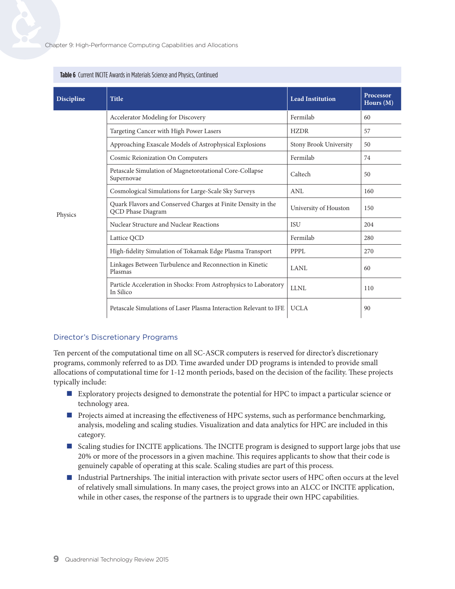| <b>Discipline</b> | <b>Title</b>                                                                      | <b>Lead Institution</b> | Processor<br>Hours (M) |
|-------------------|-----------------------------------------------------------------------------------|-------------------------|------------------------|
|                   | Accelerator Modeling for Discovery                                                | Fermilab                | 60                     |
|                   | Targeting Cancer with High Power Lasers                                           | <b>HZDR</b>             | 57                     |
|                   | Approaching Exascale Models of Astrophysical Explosions                           | Stony Brook University  | 50                     |
|                   | <b>Cosmic Reionization On Computers</b>                                           | Fermilab                | 74                     |
|                   | Petascale Simulation of Magnetorotational Core-Collapse<br>Supernovae             | Caltech                 | 50                     |
|                   | Cosmological Simulations for Large-Scale Sky Surveys                              | <b>ANL</b>              | 160                    |
| Physics           | Quark Flavors and Conserved Charges at Finite Density in the<br>QCD Phase Diagram | University of Houston   | 150                    |
|                   | Nuclear Structure and Nuclear Reactions                                           | <b>ISU</b>              | 204                    |
|                   | Lattice QCD                                                                       | Fermilab                | 280                    |
|                   | High-fidelity Simulation of Tokamak Edge Plasma Transport                         | <b>PPPL</b>             | 270                    |
|                   | Linkages Between Turbulence and Reconnection in Kinetic<br>Plasmas                | <b>LANL</b>             | 60                     |
|                   | Particle Acceleration in Shocks: From Astrophysics to Laboratory<br>In Silico     | <b>LLNL</b>             | 110                    |
|                   | Petascale Simulations of Laser Plasma Interaction Relevant to IFE                 | <b>UCLA</b>             | 90                     |

#### **Table 6** Current INCITE Awards in Materials Science and Physics, Continued

#### Director's Discretionary Programs

Ten percent of the computational time on all SC-ASCR computers is reserved for director's discretionary programs, commonly referred to as DD. Time awarded under DD programs is intended to provide small allocations of computational time for 1-12 month periods, based on the decision of the facility. These projects typically include:

- Exploratory projects designed to demonstrate the potential for HPC to impact a particular science or technology area.
- **Projects aimed at increasing the effectiveness of HPC systems, such as performance benchmarking,** analysis, modeling and scaling studies. Visualization and data analytics for HPC are included in this category.
- Scaling studies for INCITE applications. The INCITE program is designed to support large jobs that use 20% or more of the processors in a given machine. This requires applicants to show that their code is genuinely capable of operating at this scale. Scaling studies are part of this process.
- Industrial Partnerships. The initial interaction with private sector users of HPC often occurs at the level of relatively small simulations. In many cases, the project grows into an ALCC or INCITE application, while in other cases, the response of the partners is to upgrade their own HPC capabilities.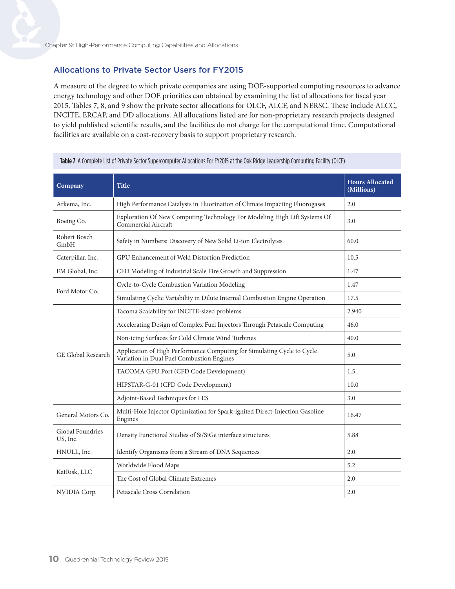#### Allocations to Private Sector Users for FY2015

A measure of the degree to which private companies are using DOE-supported computing resources to advance energy technology and other DOE priorities can obtained by examining the list of allocations for fiscal year 2015. Tables 7, 8, and 9 show the private sector allocations for OLCF, ALCF, and NERSC. These include ALCC, INCITE, ERCAP, and DD allocations. All allocations listed are for non-proprietary research projects designed to yield published scientific results, and the facilities do not charge for the computational time. Computational facilities are available on a cost-recovery basis to support proprietary research.

| Company                      | <b>Title</b>                                                                                                         | <b>Hours Allocated</b><br>(Millions) |
|------------------------------|----------------------------------------------------------------------------------------------------------------------|--------------------------------------|
| Arkema, Inc.                 | High Performance Catalysts in Fluorination of Climate Impacting Fluorogases                                          | 2.0                                  |
| Boeing Co.                   | Exploration Of New Computing Technology For Modeling High Lift Systems Of<br>Commercial Aircraft                     | 3.0                                  |
| Robert Bosch<br>GmbH         | Safety in Numbers: Discovery of New Solid Li-ion Electrolytes                                                        | 60.0                                 |
| Caterpillar, Inc.            | GPU Enhancement of Weld Distortion Prediction                                                                        | 10.5                                 |
| FM Global, Inc.              | CFD Modeling of Industrial Scale Fire Growth and Suppression                                                         | 1.47                                 |
|                              | Cycle-to-Cycle Combustion Variation Modeling                                                                         | 1.47                                 |
| Ford Motor Co.               | Simulating Cyclic Variability in Dilute Internal Combustion Engine Operation                                         | 17.5                                 |
|                              | Tacoma Scalability for INCITE-sized problems                                                                         | 2.940                                |
|                              | Accelerating Design of Complex Fuel Injectors Through Petascale Computing                                            | 46.0                                 |
|                              | Non-icing Surfaces for Cold Climate Wind Turbines                                                                    | 40.0                                 |
| GE Global Research           | Application of High Performance Computing for Simulating Cycle to Cycle<br>Variation in Dual Fuel Combustion Engines | 5.0                                  |
|                              | TACOMA GPU Port (CFD Code Development)                                                                               | 1.5                                  |
|                              | HIPSTAR-G-01 (CFD Code Development)                                                                                  | 10.0                                 |
|                              | Adjoint-Based Techniques for LES                                                                                     | 3.0                                  |
| General Motors Co.           | Multi-Hole Injector Optimization for Spark-ignited Direct-Injection Gasoline<br>Engines                              | 16.47                                |
| Global Foundries<br>US, Inc. | Density Functional Studies of Si/SiGe interface structures                                                           | 5.88                                 |
| HNULL, Inc.                  | Identify Organisms from a Stream of DNA Sequences                                                                    | 2.0                                  |
|                              | Worldwide Flood Maps                                                                                                 | 5.2                                  |
| KatRisk, LLC                 | The Cost of Global Climate Extremes                                                                                  | 2.0                                  |
| NVIDIA Corp.                 | Petascale Cross Correlation                                                                                          | 2.0                                  |

**Table 7** A Complete List of Private Sector Supercomputer Allocations For FY2015 at the Oak Ridge Leadership Computing Facility (OLCF)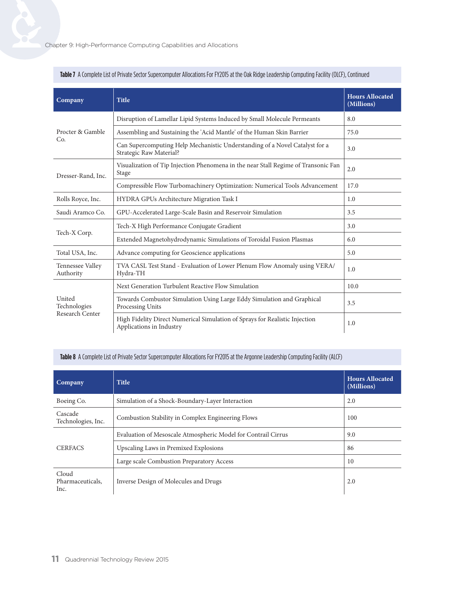| Company                       | <b>Title</b>                                                                                            | <b>Hours Allocated</b><br>(Millions) |
|-------------------------------|---------------------------------------------------------------------------------------------------------|--------------------------------------|
|                               | Disruption of Lamellar Lipid Systems Induced by Small Molecule Permeants                                | 8.0                                  |
| Procter & Gamble              | Assembling and Sustaining the 'Acid Mantle' of the Human Skin Barrier                                   | 75.0                                 |
| Co.                           | Can Supercomputing Help Mechanistic Understanding of a Novel Catalyst for a<br>Strategic Raw Material?  | 3.0                                  |
| Dresser-Rand, Inc.            | Visualization of Tip Injection Phenomena in the near Stall Regime of Transonic Fan<br>Stage             | 2.0                                  |
|                               | Compressible Flow Turbomachinery Optimization: Numerical Tools Advancement                              | 17.0                                 |
| Rolls Royce, Inc.             | HYDRA GPUs Architecture Migration Task I                                                                | 1.0                                  |
| Saudi Aramco Co.              | GPU-Accelerated Large-Scale Basin and Reservoir Simulation                                              | 3.5                                  |
|                               | Tech-X High Performance Conjugate Gradient                                                              | 3.0                                  |
| Tech-X Corp.                  | Extended Magnetohydrodynamic Simulations of Toroidal Fusion Plasmas                                     | 6.0                                  |
| Total USA, Inc.               | Advance computing for Geoscience applications                                                           | 5.0                                  |
| Tennessee Valley<br>Authority | TVA CASL Test Stand - Evaluation of Lower Plenum Flow Anomaly using VERA/<br>Hydra-TH                   | 1.0                                  |
|                               | Next Generation Turbulent Reactive Flow Simulation                                                      | 10.0                                 |
| United<br>Technologies        | Towards Combustor Simulation Using Large Eddy Simulation and Graphical<br>Processing Units              | 3.5                                  |
| Research Center               | High Fidelity Direct Numerical Simulation of Sprays for Realistic Injection<br>Applications in Industry | 1.0                                  |

#### Table 7 A Complete List of Private Sector Supercomputer Allocations For FY2015 at the Oak Ridge Leadership Computing Facility (OLCF), Continued

#### **Table 8** A Complete List of Private Sector Supercomputer Allocations For FY2015 at the Argonne Leadership Computing Facility (ALCF)

| Company                           | <b>Title</b>                                                  | <b>Hours Allocated</b><br>(Millions) |
|-----------------------------------|---------------------------------------------------------------|--------------------------------------|
| Boeing Co.                        | Simulation of a Shock-Boundary-Layer Interaction              | 2.0                                  |
| Cascade<br>Technologies, Inc.     | Combustion Stability in Complex Engineering Flows             | 100                                  |
|                                   | Evaluation of Mesoscale Atmospheric Model for Contrail Cirrus | 9.0                                  |
| <b>CERFACS</b>                    | Upscaling Laws in Premixed Explosions                         | 86                                   |
|                                   | Large scale Combustion Preparatory Access                     | 10                                   |
| Cloud<br>Pharmaceuticals,<br>Inc. | Inverse Design of Molecules and Drugs                         | 2.0                                  |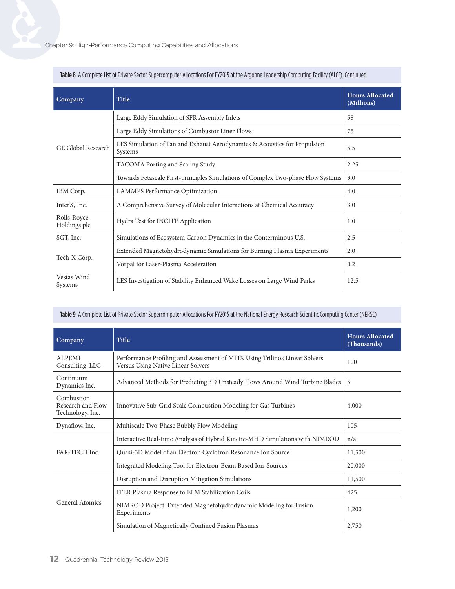| Company                     | <b>Title</b>                                                                         | <b>Hours Allocated</b><br>(Millions) |
|-----------------------------|--------------------------------------------------------------------------------------|--------------------------------------|
|                             | Large Eddy Simulation of SFR Assembly Inlets                                         | 58                                   |
|                             | Large Eddy Simulations of Combustor Liner Flows                                      | 75                                   |
| GE Global Research          | LES Simulation of Fan and Exhaust Aerodynamics & Acoustics for Propulsion<br>Systems | 5.5                                  |
|                             | TACOMA Porting and Scaling Study                                                     | 2.25                                 |
|                             | Towards Petascale First-principles Simulations of Complex Two-phase Flow Systems     | 3.0                                  |
| IBM Corp.                   | LAMMPS Performance Optimization                                                      | 4.0                                  |
| InterX, Inc.                | A Comprehensive Survey of Molecular Interactions at Chemical Accuracy                | 3.0                                  |
| Rolls-Royce<br>Holdings plc | Hydra Test for INCITE Application                                                    | 1.0                                  |
| SGT, Inc.                   | Simulations of Ecosystem Carbon Dynamics in the Conterminous U.S.                    | 2.5                                  |
|                             | Extended Magnetohydrodynamic Simulations for Burning Plasma Experiments              | 2.0                                  |
| Tech-X Corp.                | Vorpal for Laser-Plasma Acceleration                                                 | 0.2                                  |
| Vestas Wind<br>Systems      | LES Investigation of Stability Enhanced Wake Losses on Large Wind Parks              | 12.5                                 |

#### **Table 8** A Complete List of Private Sector Supercomputer Allocations For FY2015 at the Argonne Leadership Computing Facility (ALCF), Continued

#### **Table 9** A Complete List of Private Sector Supercomputer Allocations For FY2015 at the National Energy Research Scientific Computing Center (NERSC)

| Company                                             | <b>Title</b>                                                                                                     | <b>Hours Allocated</b><br>(Thousands) |
|-----------------------------------------------------|------------------------------------------------------------------------------------------------------------------|---------------------------------------|
| <b>ALPEMI</b><br>Consulting, LLC                    | Performance Profiling and Assessment of MFIX Using Trilinos Linear Solvers<br>Versus Using Native Linear Solvers | 100                                   |
| Continuum<br>Dynamics Inc.                          | Advanced Methods for Predicting 3D Unsteady Flows Around Wind Turbine Blades                                     | 5                                     |
| Combustion<br>Research and Flow<br>Technology, Inc. | Innovative Sub-Grid Scale Combustion Modeling for Gas Turbines                                                   |                                       |
| Dynaflow, Inc.                                      | Multiscale Two-Phase Bubbly Flow Modeling                                                                        | 105                                   |
| FAR-TECH Inc.                                       | Interactive Real-time Analysis of Hybrid Kinetic-MHD Simulations with NIMROD                                     | n/a                                   |
|                                                     | Quasi-3D Model of an Electron Cyclotron Resonance Ion Source                                                     | 11,500                                |
|                                                     | Integrated Modeling Tool for Electron-Beam Based Ion-Sources                                                     | 20,000                                |
| General Atomics                                     | Disruption and Disruption Mitigation Simulations                                                                 | 11,500                                |
|                                                     | ITER Plasma Response to ELM Stabilization Coils                                                                  | 425                                   |
|                                                     | NIMROD Project: Extended Magnetohydrodynamic Modeling for Fusion<br>Experiments                                  | 1,200                                 |
|                                                     | Simulation of Magnetically Confined Fusion Plasmas                                                               | 2,750                                 |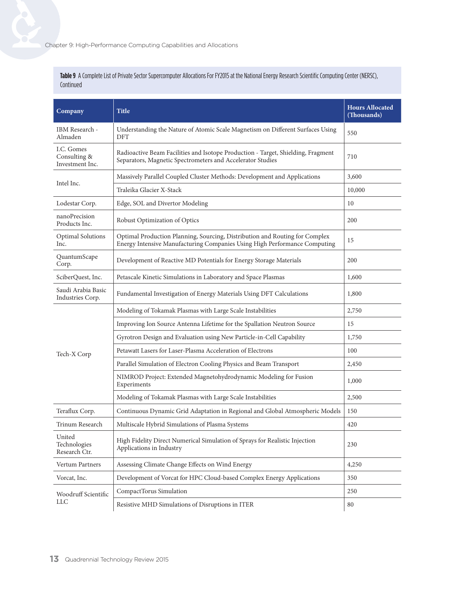**Table 9** A Complete List of Private Sector Supercomputer Allocations For FY2015 at the National Energy Research Scientific Computing Center (NERSC), Continued

| Company                                       | Title                                                                                                                                                    | <b>Hours Allocated</b><br>(Thousands) |
|-----------------------------------------------|----------------------------------------------------------------------------------------------------------------------------------------------------------|---------------------------------------|
| IBM Research -<br>Almaden                     | Understanding the Nature of Atomic Scale Magnetism on Different Surfaces Using<br><b>DFT</b>                                                             | 550                                   |
| I.C. Gomes<br>Consulting &<br>Investment Inc. | Radioactive Beam Facilities and Isotope Production - Target, Shielding, Fragment<br>Separators, Magnetic Spectrometers and Accelerator Studies           | 710                                   |
| Intel Inc.                                    | Massively Parallel Coupled Cluster Methods: Development and Applications                                                                                 | 3,600                                 |
|                                               | Traleika Glacier X-Stack                                                                                                                                 | 10,000                                |
| Lodestar Corp.                                | Edge, SOL and Divertor Modeling                                                                                                                          | 10                                    |
| nanoPrecision<br>Products Inc.                | Robust Optimization of Optics                                                                                                                            | 200                                   |
| <b>Optimal Solutions</b><br>Inc.              | Optimal Production Planning, Sourcing, Distribution and Routing for Complex<br>Energy Intensive Manufacturing Companies Using High Performance Computing | 15                                    |
| QuantumScape<br>Corp.                         | Development of Reactive MD Potentials for Energy Storage Materials                                                                                       | 200                                   |
| SciberQuest, Inc.                             | Petascale Kinetic Simulations in Laboratory and Space Plasmas                                                                                            | 1,600                                 |
| Saudi Arabia Basic<br>Industries Corp.        | Fundamental Investigation of Energy Materials Using DFT Calculations                                                                                     | 1,800                                 |
|                                               | Modeling of Tokamak Plasmas with Large Scale Instabilities                                                                                               | 2,750                                 |
|                                               | Improving Ion Source Antenna Lifetime for the Spallation Neutron Source                                                                                  | 15                                    |
|                                               | Gyrotron Design and Evaluation using New Particle-in-Cell Capability                                                                                     | 1,750                                 |
| Tech-X Corp                                   | Petawatt Lasers for Laser-Plasma Acceleration of Electrons                                                                                               | 100                                   |
|                                               | Parallel Simulation of Electron Cooling Physics and Beam Transport                                                                                       | 2,450                                 |
|                                               | NIMROD Project: Extended Magnetohydrodynamic Modeling for Fusion<br>Experiments                                                                          | 1,000                                 |
|                                               | Modeling of Tokamak Plasmas with Large Scale Instabilities                                                                                               | 2,500                                 |
| Teraflux Corp.                                | Continuous Dynamic Grid Adaptation in Regional and Global Atmospheric Models                                                                             | 150                                   |
| Trinum Research                               | Multiscale Hybrid Simulations of Plasma Systems                                                                                                          | 420                                   |
| United<br>Technologies<br>Research Ctr.       | High Fidelity Direct Numerical Simulation of Sprays for Realistic Injection<br>Applications in Industry                                                  | 230                                   |
| Vertum Partners                               | Assessing Climate Change Effects on Wind Energy                                                                                                          | 4,250                                 |
| Vorcat, Inc.                                  | Development of Vorcat for HPC Cloud-based Complex Energy Applications                                                                                    | 350                                   |
| Woodruff Scientific<br><b>LLC</b>             | CompactTorus Simulation                                                                                                                                  | 250                                   |
|                                               | Resistive MHD Simulations of Disruptions in ITER                                                                                                         | 80                                    |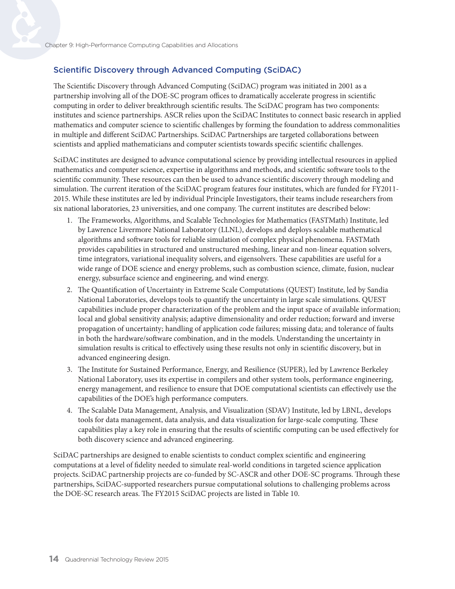#### Scientific Discovery through Advanced Computing (SciDAC)

The Scientific Discovery through Advanced Computing (SciDAC) program was initiated in 2001 as a partnership involving all of the DOE-SC program offices to dramatically accelerate progress in scientific computing in order to deliver breakthrough scientific results. The SciDAC program has two components: institutes and science partnerships. ASCR relies upon the SciDAC Institutes to connect basic research in applied mathematics and computer science to scientific challenges by forming the foundation to address commonalities in multiple and different SciDAC Partnerships. SciDAC Partnerships are targeted collaborations between scientists and applied mathematicians and computer scientists towards specific scientific challenges.

SciDAC institutes are designed to advance computational science by providing intellectual resources in applied mathematics and computer science, expertise in algorithms and methods, and scientific software tools to the scientific community. These resources can then be used to advance scientific discovery through modeling and simulation. The current iteration of the SciDAC program features four institutes, which are funded for FY2011- 2015. While these institutes are led by individual Principle Investigators, their teams include researchers from six national laboratories, 23 universities, and one company. The current institutes are described below:

- 1. The Frameworks, Algorithms, and Scalable Technologies for Mathematics (FASTMath) Institute, led by Lawrence Livermore National Laboratory (LLNL), develops and deploys scalable mathematical algorithms and software tools for reliable simulation of complex physical phenomena. FASTMath provides capabilities in structured and unstructured meshing, linear and non-linear equation solvers, time integrators, variational inequality solvers, and eigensolvers. These capabilities are useful for a wide range of DOE science and energy problems, such as combustion science, climate, fusion, nuclear energy, subsurface science and engineering, and wind energy.
- 2. The Quantification of Uncertainty in Extreme Scale Computations (QUEST) Institute, led by Sandia National Laboratories, develops tools to quantify the uncertainty in large scale simulations. QUEST capabilities include proper characterization of the problem and the input space of available information; local and global sensitivity analysis; adaptive dimensionality and order reduction; forward and inverse propagation of uncertainty; handling of application code failures; missing data; and tolerance of faults in both the hardware/software combination, and in the models. Understanding the uncertainty in simulation results is critical to effectively using these results not only in scientific discovery, but in advanced engineering design.
- 3. The Institute for Sustained Performance, Energy, and Resilience (SUPER), led by Lawrence Berkeley National Laboratory, uses its expertise in compilers and other system tools, performance engineering, energy management, and resilience to ensure that DOE computational scientists can effectively use the capabilities of the DOE's high performance computers.
- 4. The Scalable Data Management, Analysis, and Visualization (SDAV) Institute, led by LBNL, develops tools for data management, data analysis, and data visualization for large-scale computing. These capabilities play a key role in ensuring that the results of scientific computing can be used effectively for both discovery science and advanced engineering.

SciDAC partnerships are designed to enable scientists to conduct complex scientific and engineering computations at a level of fidelity needed to simulate real-world conditions in targeted science application projects. SciDAC partnership projects are co-funded by SC-ASCR and other DOE-SC programs. Through these partnerships, SciDAC-supported researchers pursue computational solutions to challenging problems across the DOE-SC research areas. The FY2015 SciDAC projects are listed in Table 10.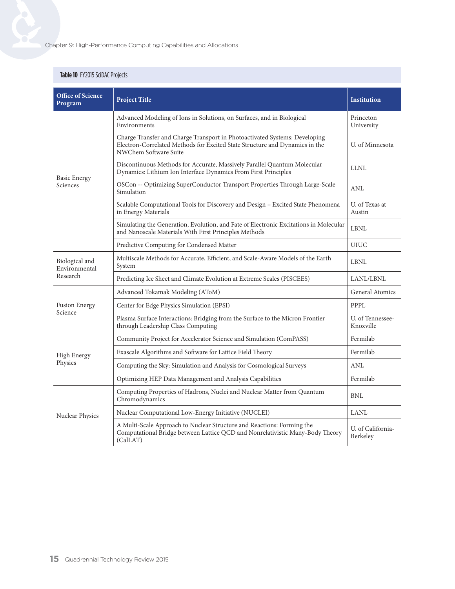#### **Table 10** FY2015 SciDAC Projects

| <b>Office of Science</b><br>Program         | <b>Project Title</b>                                                                                                                                                               | <b>Institution</b>            |
|---------------------------------------------|------------------------------------------------------------------------------------------------------------------------------------------------------------------------------------|-------------------------------|
| <b>Basic Energy</b><br>Sciences             | Advanced Modeling of Ions in Solutions, on Surfaces, and in Biological<br>Environments                                                                                             | Princeton<br>University       |
|                                             | Charge Transfer and Charge Transport in Photoactivated Systems: Developing<br>Electron-Correlated Methods for Excited State Structure and Dynamics in the<br>NWChem Software Suite | U. of Minnesota               |
|                                             | Discontinuous Methods for Accurate, Massively Parallel Quantum Molecular<br>Dynamics: Lithium Ion Interface Dynamics From First Principles                                         | <b>LLNL</b>                   |
|                                             | OSCon -- Optimizing SuperConductor Transport Properties Through Large-Scale<br>Simulation                                                                                          | ANL                           |
|                                             | Scalable Computational Tools for Discovery and Design - Excited State Phenomena<br>in Energy Materials                                                                             | U. of Texas at<br>Austin      |
|                                             | Simulating the Generation, Evolution, and Fate of Electronic Excitations in Molecular<br>and Nanoscale Materials With First Principles Methods                                     | <b>LBNL</b>                   |
|                                             | Predictive Computing for Condensed Matter                                                                                                                                          | <b>UIUC</b>                   |
| Biological and<br>Environmental<br>Research | Multiscale Methods for Accurate, Efficient, and Scale-Aware Models of the Earth<br>System                                                                                          | LBNL                          |
|                                             | Predicting Ice Sheet and Climate Evolution at Extreme Scales (PISCEES)                                                                                                             | LANL/LBNL                     |
| <b>Fusion Energy</b><br>Science             | Advanced Tokamak Modeling (AToM)                                                                                                                                                   | <b>General Atomics</b>        |
|                                             | Center for Edge Physics Simulation (EPSI)                                                                                                                                          | PPPL                          |
|                                             | Plasma Surface Interactions: Bridging from the Surface to the Micron Frontier<br>through Leadership Class Computing                                                                | U. of Tennessee-<br>Knoxville |
| <b>High Energy</b><br>Physics               | Community Project for Accelerator Science and Simulation (ComPASS)                                                                                                                 | Fermilab                      |
|                                             | Exascale Algorithms and Software for Lattice Field Theory                                                                                                                          | Fermilab                      |
|                                             | Computing the Sky: Simulation and Analysis for Cosmological Surveys                                                                                                                | ANL                           |
|                                             | Optimizing HEP Data Management and Analysis Capabilities                                                                                                                           | Fermilab                      |
| Nuclear Physics                             | Computing Properties of Hadrons, Nuclei and Nuclear Matter from Quantum<br>Chromodynamics                                                                                          | <b>BNL</b>                    |
|                                             | Nuclear Computational Low-Energy Initiative (NUCLEI)                                                                                                                               | <b>LANL</b>                   |
|                                             | A Multi-Scale Approach to Nuclear Structure and Reactions: Forming the<br>Computational Bridge between Lattice QCD and Nonrelativistic Many-Body Theory<br>(CalLAT)                | U. of California-<br>Berkeley |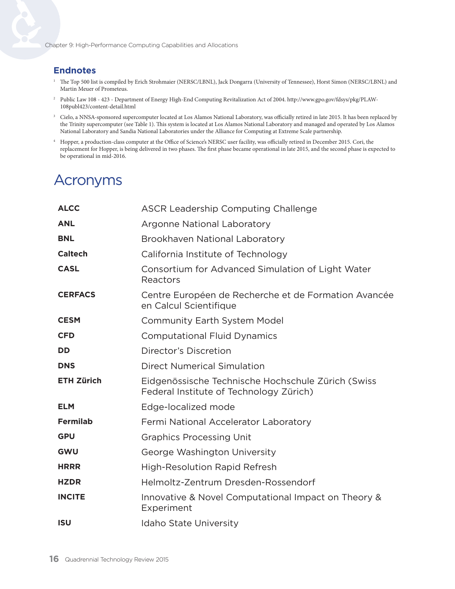#### **Endnotes**

- <sup>1</sup> The Top 500 list is compiled by Erich Strohmaier (NERSC/LBNL), Jack Dongarra (University of Tennessee), Horst Simon (NERSC/LBNL) and Martin Meuer of Prometeus.
- <sup>2</sup> Public Law 108 423 Department of Energy High-End Computing Revitalization Act of 2004. [http://www.gpo.gov/fdsys/pkg/PLAW-](http://www.gpo.gov/fdsys/pkg/PLAW-108publ423/content-detail.html)[108publ423/content-detail.html](http://www.gpo.gov/fdsys/pkg/PLAW-108publ423/content-detail.html)
- <sup>3</sup> Cielo, a NNSA-sponsored supercomputer located at Los Alamos National Laboratory, was officially retired in late 2015. It has been replaced by the Trinity supercomputer (see Table 1). This system is located at Los Alamos National Laboratory and managed and operated by Los Alamos National Laboratory and Sandia National Laboratories under the Alliance for Computing at Extreme Scale partnership.
- <sup>4</sup> Hopper, a production-class computer at the Office of Science's NERSC user facility, was officially retired in December 2015. Cori, the replacement for Hopper, is being delivered in two phases. The first phase became operational in late 2015, and the second phase is expected to be operational in mid-2016.

## Acronyms

| <b>ALCC</b>       | <b>ASCR Leadership Computing Challenge</b>                                                    |
|-------------------|-----------------------------------------------------------------------------------------------|
| <b>ANL</b>        | <b>Argonne National Laboratory</b>                                                            |
| <b>BNL</b>        | Brookhaven National Laboratory                                                                |
| <b>Caltech</b>    | California Institute of Technology                                                            |
| <b>CASL</b>       | Consortium for Advanced Simulation of Light Water<br>Reactors                                 |
| <b>CERFACS</b>    | Centre Européen de Recherche et de Formation Avancée<br>en Calcul Scientifique                |
| <b>CESM</b>       | <b>Community Earth System Model</b>                                                           |
| <b>CFD</b>        | <b>Computational Fluid Dynamics</b>                                                           |
| <b>DD</b>         | Director's Discretion                                                                         |
| <b>DNS</b>        | <b>Direct Numerical Simulation</b>                                                            |
| <b>ETH Zürich</b> | Eidgenössische Technische Hochschule Zürich (Swiss<br>Federal Institute of Technology Zürich) |
| <b>ELM</b>        | Edge-localized mode                                                                           |
| <b>Fermilab</b>   | Fermi National Accelerator Laboratory                                                         |
| <b>GPU</b>        | <b>Graphics Processing Unit</b>                                                               |
| <b>GWU</b>        | George Washington University                                                                  |
| <b>HRRR</b>       | <b>High-Resolution Rapid Refresh</b>                                                          |
| <b>HZDR</b>       | Helmoltz-Zentrum Dresden-Rossendorf                                                           |
| <b>INCITE</b>     | Innovative & Novel Computational Impact on Theory &<br>Experiment                             |
| <b>ISU</b>        | <b>Idaho State University</b>                                                                 |